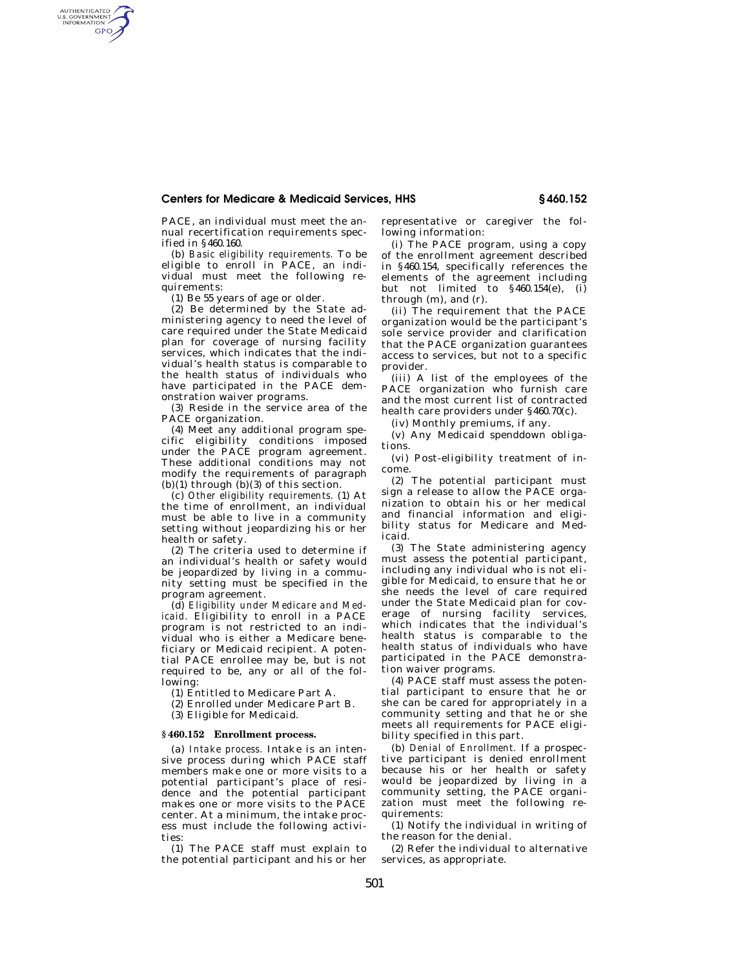## **Centers for Medicare & Medicaid Services, HHS § 460.152**

PACE, an individual must meet the annual recertification requirements specified in §460.160.

(b) *Basic eligibility requirements.* To be eligible to enroll in PACE, an individual must meet the following requirements:

(1) Be 55 years of age or older.

AUTHENTICATED<br>U.S. GOVERNMENT<br>INFORMATION GPO

> (2) Be determined by the State administering agency to need the level of care required under the State Medicaid plan for coverage of nursing facility services, which indicates that the individual's health status is comparable to the health status of individuals who have participated in the PACE demonstration waiver programs.

(3) Reside in the service area of the PACE organization.

(4) Meet any additional program specific eligibility conditions imposed under the PACE program agreement. These additional conditions may not modify the requirements of paragraph  $(b)(1)$  through  $(b)(3)$  of this section.

(c) *Other eligibility requirements.* (1) At the time of enrollment, an individual must be able to live in a community setting without jeopardizing his or her health or safety.

(2) The criteria used to determine if an individual's health or safety would be jeopardized by living in a community setting must be specified in the program agreement.

(d) *Eligibility under Medicare and Medicaid.* Eligibility to enroll in a PACE program is not restricted to an individual who is either a Medicare beneficiary or Medicaid recipient. A potential PACE enrollee may be, but is not required to be, any or all of the following:

(1) Entitled to Medicare Part A.

(2) Enrolled under Medicare Part B.

(3) Eligible for Medicaid.

### **§ 460.152 Enrollment process.**

(a) *Intake process.* Intake is an intensive process during which PACE staff members make one or more visits to a potential participant's place of residence and the potential participant makes one or more visits to the PACE center. At a minimum, the intake process must include the following activities:

(1) The PACE staff must explain to the potential participant and his or her representative or caregiver the following information:

(i) The PACE program, using a copy of the enrollment agreement described in §460.154, specifically references the elements of the agreement including but not limited to  $$460.154(e)$ , (i) through (m), and (r).

(ii) The requirement that the PACE organization would be the participant's sole service provider and clarification that the PACE organization guarantees access to services, but not to a specific provider.

(iii) A list of the employees of the PACE organization who furnish care and the most current list of contracted health care providers under §460.70(c).

(iv) Monthly premiums, if any.

(v) Any Medicaid spenddown obligations.

(vi) Post-eligibility treatment of income.

(2) The potential participant must sign a release to allow the PACE organization to obtain his or her medical and financial information and eligibility status for Medicare and Medicaid.

(3) The State administering agency must assess the potential participant, including any individual who is not eligible for Medicaid, to ensure that he or she needs the level of care required under the State Medicaid plan for coverage of nursing facility services, which indicates that the individual's health status is comparable to the health status of individuals who have participated in the PACE demonstration waiver programs.

(4) PACE staff must assess the potential participant to ensure that he or she can be cared for appropriately in a community setting and that he or she meets all requirements for PACE eligibility specified in this part.

(b) *Denial of Enrollment.* If a prospective participant is denied enrollment because his or her health or safety would be jeopardized by living in a community setting, the PACE organization must meet the following requirements:

(1) Notify the individual in writing of the reason for the denial.

(2) Refer the individual to alternative services, as appropriate.